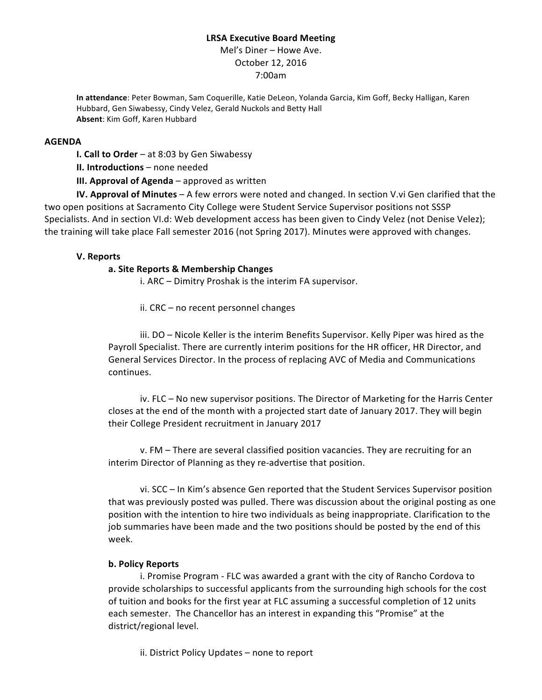# **LRSA Executive Board Meeting**

Mel's Diner - Howe Ave. October 12, 2016 7:00am

In attendance: Peter Bowman, Sam Coquerille, Katie DeLeon, Yolanda Garcia, Kim Goff, Becky Halligan, Karen Hubbard, Gen Siwabessy, Cindy Velez, Gerald Nuckols and Betty Hall Absent: Kim Goff, Karen Hubbard

#### **AGENDA**

**I. Call to Order** – at 8:03 by Gen Siwabessy

**II. Introductions** – none needed

**III. Approval of Agenda** – approved as written

**IV. Approval of Minutes** – A few errors were noted and changed. In section V.vi Gen clarified that the two open positions at Sacramento City College were Student Service Supervisor positions not SSSP Specialists. And in section VI.d: Web development access has been given to Cindy Velez (not Denise Velez); the training will take place Fall semester 2016 (not Spring 2017). Minutes were approved with changes.

### **V. Reports**

### **a. Site Reports & Membership Changes**

i. ARC – Dimitry Proshak is the interim FA supervisor.

ii.  $CRC$  – no recent personnel changes

iii. DO - Nicole Keller is the interim Benefits Supervisor. Kelly Piper was hired as the Payroll Specialist. There are currently interim positions for the HR officer, HR Director, and General Services Director. In the process of replacing AVC of Media and Communications continues. 

iv. FLC – No new supervisor positions. The Director of Marketing for the Harris Center closes at the end of the month with a projected start date of January 2017. They will begin their College President recruitment in January 2017

 $v.$  FM – There are several classified position vacancies. They are recruiting for an interim Director of Planning as they re-advertise that position.

vi. SCC – In Kim's absence Gen reported that the Student Services Supervisor position that was previously posted was pulled. There was discussion about the original posting as one position with the intention to hire two individuals as being inappropriate. Clarification to the job summaries have been made and the two positions should be posted by the end of this week. 

#### **b. Policy Reports**

i. Promise Program - FLC was awarded a grant with the city of Rancho Cordova to provide scholarships to successful applicants from the surrounding high schools for the cost of tuition and books for the first year at FLC assuming a successful completion of 12 units each semester. The Chancellor has an interest in expanding this "Promise" at the district/regional level.

ii. District Policy Updates – none to report